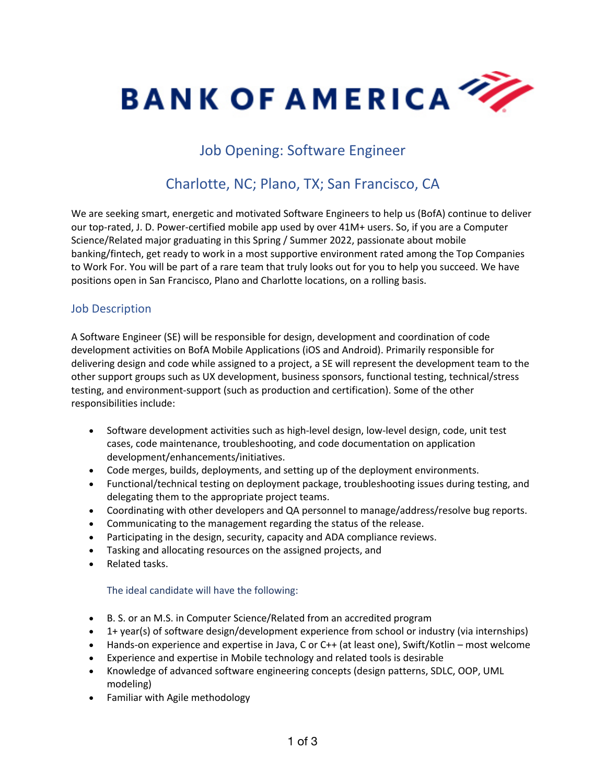

## Job Opening: Software Engineer

# Charlotte, NC; Plano, TX; San Francisco, CA

We are seeking smart, energetic and motivated Software Engineers to help us (BofA) continue to deliver our top-rated, J. D. Power-certified mobile app used by over 41M+ users. So, if you are a Computer Science/Related major graduating in this Spring / Summer 2022, passionate about mobile banking/fintech, get ready to work in a most supportive environment rated among the Top Companies to Work For. You will be part of a rare team that truly looks out for you to help you succeed. We have positions open in San Francisco, Plano and Charlotte locations, on a rolling basis.

### Job Description

A Software Engineer (SE) will be responsible for design, development and coordination of code development activities on BofA Mobile Applications (iOS and Android). Primarily responsible for delivering design and code while assigned to a project, a SE will represent the development team to the other support groups such as UX development, business sponsors, functional testing, technical/stress testing, and environment-support (such as production and certification). Some of the other responsibilities include:

- Software development activities such as high-level design, low-level design, code, unit test cases, code maintenance, troubleshooting, and code documentation on application development/enhancements/initiatives.
- Code merges, builds, deployments, and setting up of the deployment environments.
- Functional/technical testing on deployment package, troubleshooting issues during testing, and delegating them to the appropriate project teams.
- Coordinating with other developers and QA personnel to manage/address/resolve bug reports.
- Communicating to the management regarding the status of the release.
- Participating in the design, security, capacity and ADA compliance reviews.
- Tasking and allocating resources on the assigned projects, and
- Related tasks.

#### The ideal candidate will have the following:

- B. S. or an M.S. in Computer Science/Related from an accredited program
- 1+ year(s) of software design/development experience from school or industry (via internships)
- Hands-on experience and expertise in Java, C or C++ (at least one), Swift/Kotlin most welcome
- Experience and expertise in Mobile technology and related tools is desirable
- Knowledge of advanced software engineering concepts (design patterns, SDLC, OOP, UML modeling)
- Familiar with Agile methodology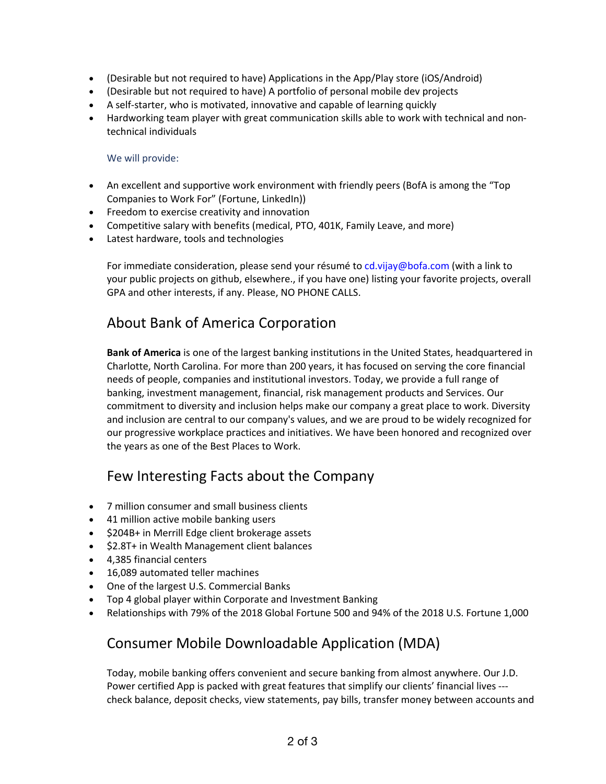- (Desirable but not required to have) Applications in the App/Play store (iOS/Android)
- (Desirable but not required to have) A portfolio of personal mobile dev projects
- A self-starter, who is motivated, innovative and capable of learning quickly
- Hardworking team player with great communication skills able to work with technical and nontechnical individuals

#### We will provide:

- An excellent and supportive work environment with friendly peers (BofA is among the "Top Companies to Work For" (Fortune, LinkedIn))
- Freedom to exercise creativity and innovation
- Competitive salary with benefits (medical, PTO, 401K, Family Leave, and more)
- Latest hardware, tools and technologies

For immediate consideration, please send your résumé to cd.vijay@bofa.com (with a link to your public projects on github, elsewhere., if you have one) listing your favorite projects, overall GPA and other interests, if any. Please, NO PHONE CALLS.

### About Bank of America Corporation

**Bank of America** is one of the largest banking institutions in the United States, headquartered in Charlotte, North Carolina. For more than 200 years, it has focused on serving the core financial needs of people, companies and institutional investors. Today, we provide a full range of banking, investment management, financial, risk management products and Services. Our commitment to diversity and inclusion helps make our company a great place to work. Diversity and inclusion are central to our company's values, and we are proud to be widely recognized for our progressive workplace practices and initiatives. We have been honored and recognized over the years as one of the Best Places to Work.

### Few Interesting Facts about the Company

- 7 million consumer and small business clients
- 41 million active mobile banking users
- \$204B+ in Merrill Edge client brokerage assets
- \$2.8T+ in Wealth Management client balances
- 4,385 financial centers
- 16,089 automated teller machines
- One of the largest U.S. Commercial Banks
- Top 4 global player within Corporate and Investment Banking
- Relationships with 79% of the 2018 Global Fortune 500 and 94% of the 2018 U.S. Fortune 1,000

### Consumer Mobile Downloadable Application (MDA)

Today, mobile banking offers convenient and secure banking from almost anywhere. Our J.D. Power certified App is packed with great features that simplify our clients' financial lives -- check balance, deposit checks, view statements, pay bills, transfer money between accounts and